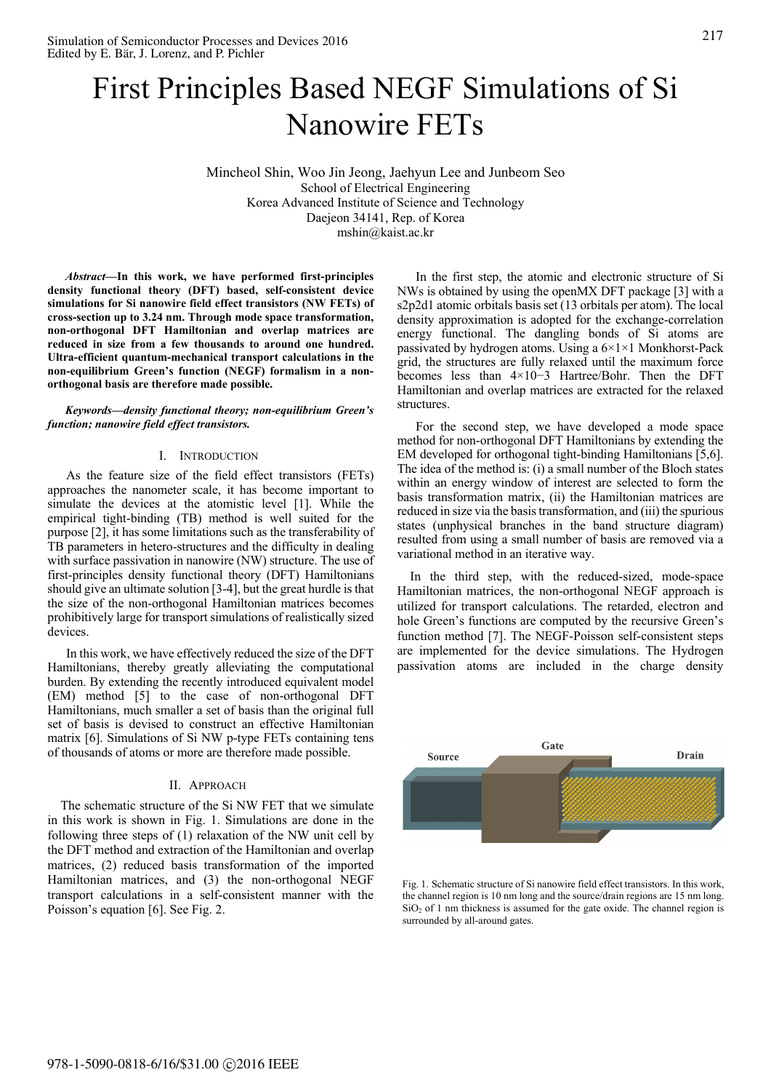# First Principles Based NEGF Simulations of Si Nanowire FETs

Mincheol Shin, Woo Jin Jeong, Jaehyun Lee and Junbeom Seo School of Electrical Engineering Korea Advanced Institute of Science and Technology Daejeon 34141, Rep. of Korea mshin@kaist.ac.kr

*Abstract***—In this work, we have performed first-principles density functional theory (DFT) based, self-consistent device simulations for Si nanowire field effect transistors (NW FETs) of cross-section up to 3.24 nm. Through mode space transformation, non-orthogonal DFT Hamiltonian and overlap matrices are reduced in size from a few thousands to around one hundred. Ultra-efficient quantum-mechanical transport calculations in the non-equilibrium Green's function (NEGF) formalism in a nonorthogonal basis are therefore made possible.** 

*Keywords—density functional theory; non-equilibrium Green's function; nanowire field effect transistors.* 

#### I. INTRODUCTION

As the feature size of the field effect transistors (FETs) approaches the nanometer scale, it has become important to simulate the devices at the atomistic level [1]. While the empirical tight-binding (TB) method is well suited for the purpose [2], it has some limitations such as the transferability of TB parameters in hetero-structures and the difficulty in dealing with surface passivation in nanowire (NW) structure. The use of first-principles density functional theory (DFT) Hamiltonians should give an ultimate solution [3-4], but the great hurdle is that the size of the non-orthogonal Hamiltonian matrices becomes prohibitively large for transport simulations of realistically sized devices.

In this work, we have effectively reduced the size of the DFT Hamiltonians, thereby greatly alleviating the computational burden. By extending the recently introduced equivalent model (EM) method [5] to the case of non-orthogonal DFT Hamiltonians, much smaller a set of basis than the original full set of basis is devised to construct an effective Hamiltonian matrix [6]. Simulations of Si NW p-type FETs containing tens of thousands of atoms or more are therefore made possible.

## II. APPROACH

The schematic structure of the Si NW FET that we simulate in this work is shown in Fig. 1. Simulations are done in the following three steps of (1) relaxation of the NW unit cell by the DFT method and extraction of the Hamiltonian and overlap matrices, (2) reduced basis transformation of the imported Hamiltonian matrices, and (3) the non-orthogonal NEGF transport calculations in a self-consistent manner with the Poisson's equation [6]. See Fig. 2.

In the first step, the atomic and electronic structure of Si NWs is obtained by using the openMX DFT package [3] with a s2p2d1 atomic orbitals basis set (13 orbitals per atom). The local density approximation is adopted for the exchange-correlation energy functional. The dangling bonds of Si atoms are passivated by hydrogen atoms. Using a  $6\times1\times1$  Monkhorst-Pack grid, the structures are fully relaxed until the maximum force becomes less than 4×10−3 Hartree/Bohr. Then the DFT Hamiltonian and overlap matrices are extracted for the relaxed **structures** 

For the second step, we have developed a mode space method for non-orthogonal DFT Hamiltonians by extending the EM developed for orthogonal tight-binding Hamiltonians [5,6]. The idea of the method is: (i) a small number of the Bloch states within an energy window of interest are selected to form the basis transformation matrix, (ii) the Hamiltonian matrices are reduced in size via the basis transformation, and (iii) the spurious states (unphysical branches in the band structure diagram) resulted from using a small number of basis are removed via a variational method in an iterative way.

In the third step, with the reduced-sized, mode-space Hamiltonian matrices, the non-orthogonal NEGF approach is utilized for transport calculations. The retarded, electron and hole Green's functions are computed by the recursive Green's function method [7]. The NEGF-Poisson self-consistent steps are implemented for the device simulations. The Hydrogen passivation atoms are included in the charge density



Fig. 1. Schematic structure of Si nanowire field effect transistors. In this work, the channel region is 10 nm long and the source/drain regions are 15 nm long.  $SiO<sub>2</sub>$  of 1 nm thickness is assumed for the gate oxide. The channel region is surrounded by all-around gates.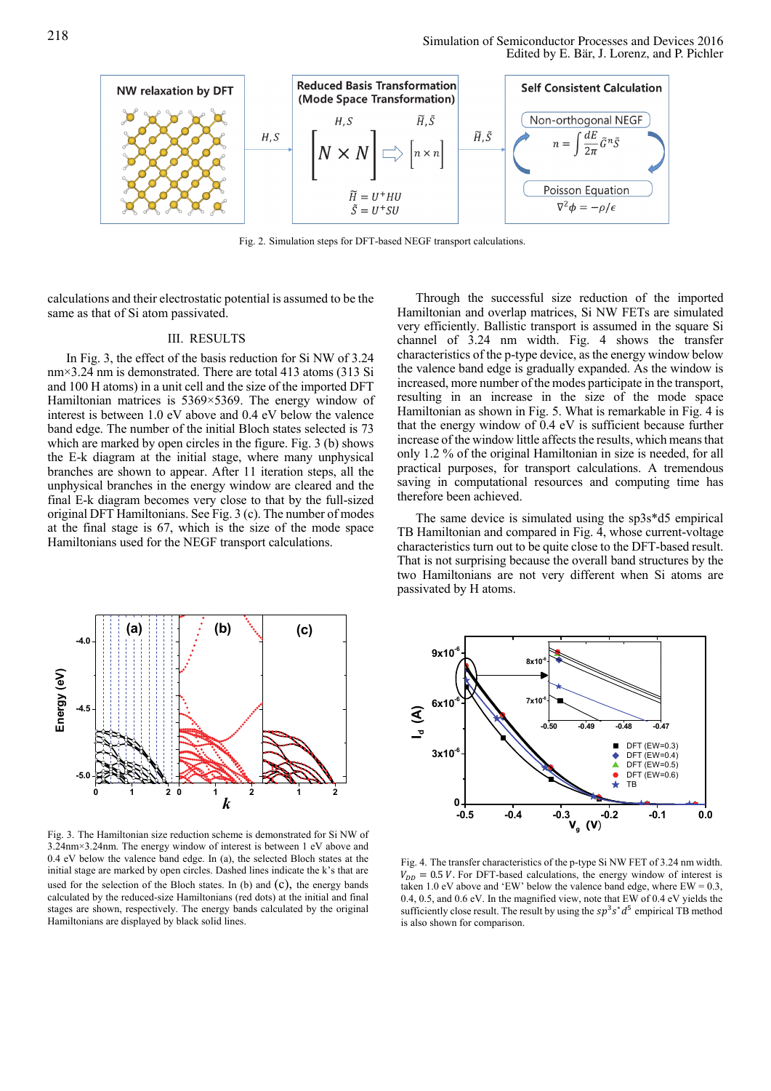

Fig. 2. Simulation steps for DFT-based NEGF transport calculations.

calculations and their electrostatic potential is assumed to be the same as that of Si atom passivated.

### III. RESULTS

In Fig. 3, the effect of the basis reduction for Si NW of 3.24 nm×3.24 nm is demonstrated. There are total 413 atoms (313 Si and 100 H atoms) in a unit cell and the size of the imported DFT Hamiltonian matrices is 5369×5369. The energy window of interest is between 1.0 eV above and 0.4 eV below the valence band edge. The number of the initial Bloch states selected is 73 which are marked by open circles in the figure. Fig. 3 (b) shows the E-k diagram at the initial stage, where many unphysical branches are shown to appear. After 11 iteration steps, all the unphysical branches in the energy window are cleared and the final E-k diagram becomes very close to that by the full-sized original DFT Hamiltonians. See Fig. 3 (c). The number of modes at the final stage is 67, which is the size of the mode space Hamiltonians used for the NEGF transport calculations.



Fig. 3. The Hamiltonian size reduction scheme is demonstrated for Si NW o f 3.24nm×3.24nm. The energy window of interest is between 1 eV above an d 0.4 eV below the valence band edge. In (a), the selected Bloch states at the initial stage are marked by open circles. Dashed lines indicate the k's that are used for the selection of the Bloch states. In (b) and  $(C)$ , the energy bands calculated by the reduced-size Hamiltonians (red dots) at the initial and final stages are shown, respectively. The energy bands calculated by the original Hamiltonians are displayed by black solid lines.

Through the successful size reduction of the imported Hamiltonian and overlap matrices, Si NW FETs are simulated very efficiently. Ballistic transport is assumed in the square Si channel of 3.24 nm width. Fig. 4 shows the transfer characteristics of the p-type device, as the energy window below the valence band edge is gradually expanded. As the window is increased, more number of the modes participate in the transport, resulting in an increase in the size of the mode space Hamiltonian as shown in Fig. 5. What is remarkable in Fig. 4 is that the energy window of 0.4 eV is sufficient because further increase of the window little affects the results, which means that only 1.2 % of the original Hamiltonian in size is needed, for all practical purposes, for transport calculations. A tremendous saving in computational resources and computing time has therefore been achieved.

The same device is simulated using the sp3s\*d5 empirical TB Hamiltonian and compared in Fig. 4, whose current-voltage characteristics turn out to be quite close to the DFT-based result. That is not surprising because the overall band structures by the two Hamiltonians are not very different when Si atoms are passivated by H atoms.



Fig. 4. The transfer characteristics of the p-type Si NW FET of 3.24 nm width.  $V_{DD} = 0.5$  V. For DFT-based calculations, the energy window of interest is taken 1.0 eV above and 'EW' below the valence band edge, where  $EW = 0.3$ , 0.4, 0.5, and 0.6 eV. In the magnified view, note that EW of 0.4 eV yields the sufficiently close result. The result by using the  $sp^3s^*d^5$  empirical TB method is also shown for comparison.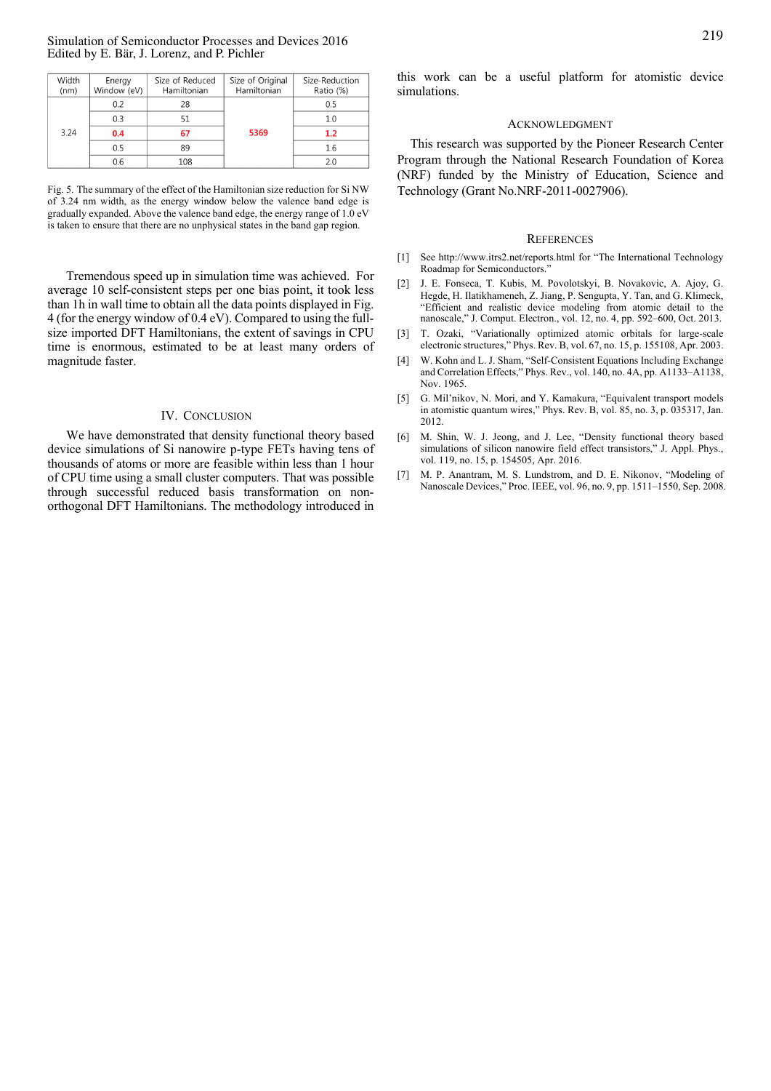| Width<br>(nm) | Energy<br>Window (eV) | Size of Reduced<br>Hamiltonian | Size of Original<br>Hamiltonian | Size-Reduction<br>Ratio (%) |
|---------------|-----------------------|--------------------------------|---------------------------------|-----------------------------|
| 3.24          | 0.2                   | 28                             | 5369                            | 0.5                         |
|               | 0.3                   | 51                             |                                 | 1.0                         |
|               | 0.4                   | 67                             |                                 | 1.2                         |
|               | 0.5                   | 89                             |                                 | 1.6                         |
|               | 0.6                   | 108                            |                                 | 2.0                         |

Fig. 5. The summary of the effect of the Hamiltonian size reduction for Si NW of 3.24 nm width, as the energy window below the valence band edge is gradually expanded. Above the valence band edge, the energy range of 1.0 eV is taken to ensure that there are no unphysical states in the band gap region.

Tremendous speed up in simulation time was achieved. For average 10 self-consistent steps per one bias point, it took less than 1h in wall time to obtain all the data points displayed in Fig. 4 (for the energy window of 0.4 eV). Compared to using the fullsize imported DFT Hamiltonians, the extent of savings in CPU time is enormous, estimated to be at least many orders of magnitude faster.

### IV. CONCLUSION

We have demonstrated that density functional theory based device simulations of Si nanowire p-type FETs having tens of thousands of atoms or more are feasible within less than 1 hour of CPU time using a small cluster computers. That was possible through successful reduced basis transformation on nonorthogonal DFT Hamiltonians. The methodology introduced in this work can be a useful platform for atomistic device simulations.

### ACKNOWLEDGMENT

This research was supported by the Pioneer Research Center Program through the National Research Foundation of Korea (NRF) funded by the Ministry of Education, Science and Technology (Grant No.NRF-2011-0027906). REFERENCES

- [1] See http://www.itrs2.net/reports.html for "The International Technology Roadmap for Semiconductors."
- [2] J. E. Fonseca, T. Kubis, M. Povolotskyi, B. Novakovic, A. Ajoy, G. Hegde, H. Ilatikhameneh, Z. Jiang, P. Sengupta, Y. Tan, and G. Klimeck, "Efficient and realistic device modeling from atomic detail to the nanoscale," J. Comput. Electron., vol. 12, no. 4, pp. 592–600, Oct. 2013.
- [3] T. Ozaki, "Variationally optimized atomic orbitals for large-scale electronic structures," Phys. Rev. B, vol. 67, no. 15, p. 155108, Apr. 2003.
- [4] W. Kohn and L. J. Sham, "Self-Consistent Equations Including Exchange and Correlation Effects," Phys. Rev., vol. 140, no. 4A, pp. A1133–A1138, Nov. 1965.
- [5] G. Mil'nikov, N. Mori, and Y. Kamakura, "Equivalent transport models in atomistic quantum wires," Phys. Rev. B, vol. 85, no. 3, p. 035317, Jan. 2012.
- [6] M. Shin, W. J. Jeong, and J. Lee, "Density functional theory based simulations of silicon nanowire field effect transistors," J. Appl. Phys., vol. 119, no. 15, p. 154505, Apr. 2016.
- [7] M. P. Anantram, M. S. Lundstrom, and D. E. Nikonov, "Modeling of Nanoscale Devices," Proc. IEEE, vol. 96, no. 9, pp. 1511–1550, Sep. 2008.